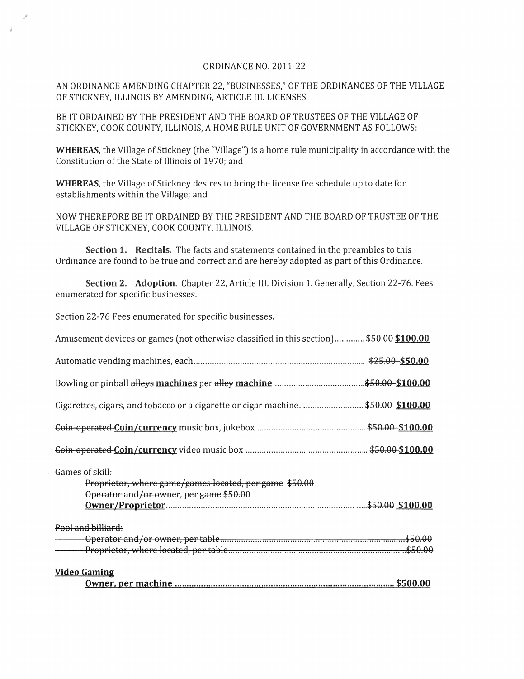## ORDINANCE NO. 2011-22

AN ORDINANCE AMENDING CHAPTER 22, "BUSINESSES," OF THE ORDINANCES OF THE VILLAGE OF STICKNEY, ILLINOIS BY AMENDING, ARTICLE III. LICENSES

BE IT ORDAINED BY THE PRESIDENT AND THE BOARD OF TRUSTEES OF THE VILLAGE OF STICKNEY, COOK COUNTY, ILLINOIS, A HOME RULE UNIT OF GOVERNMENT AS FOLLOWS:

**WHEREAS,** the Village of Stickney (the "Village") is a home rule municipality in accordance with the Constitution of the State of Illinois of1970; and

**WHEREAS,** the Village of Stickney desires to bring the license fee schedule up to date for establishments within the Village; and

NOW THEREFORE BE IT ORDAINED BY THE PRESIDENT AND THE BOARD OF TRUSTEE OF THE VILLAGE OF STICKNEY, COOK COUNTY, ILLINOIS.

**Section 1. Recitals.** The facts and statements contained in the preambles to this Ordinance are found to be true and correct and are hereby adopted as part of this Ordinance.

**Section 2. Adoption.** Chapter 22, Article III. Division 1. Generally, Section 22-76. Fees enumerated for specific businesses.

Section 22-76 Fees enumerated for specific businesses.

| Amusement devices or games (not otherwise classified in this section) \$50.00 \$100.00                               |  |
|----------------------------------------------------------------------------------------------------------------------|--|
|                                                                                                                      |  |
|                                                                                                                      |  |
| Cigarettes, cigars, and tobacco or a cigarette or cigar machine\$50.00-\$100.00                                      |  |
|                                                                                                                      |  |
|                                                                                                                      |  |
| Games of skill:<br>Proprietor, where game/games located, per game \$50.00<br>Operator and/or owner, per game \$50.00 |  |
| Pool and billiard:                                                                                                   |  |
|                                                                                                                      |  |
| <b>Video Gaming</b>                                                                                                  |  |